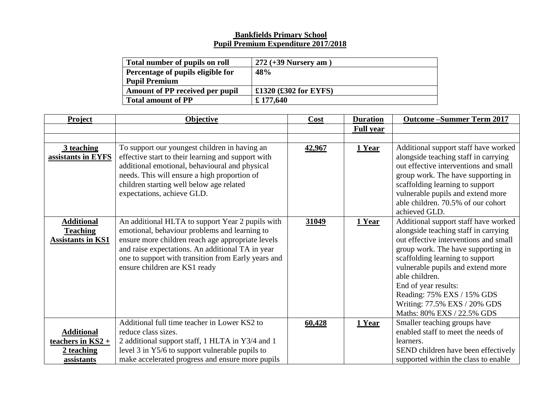## **Bankfields Primary School Pupil Premium Expenditure 2017/2018**

| Total number of pupils on roll    | $272 (+39$ Nursery am)  |
|-----------------------------------|-------------------------|
| Percentage of pupils eligible for | 48%                     |
| <b>Pupil Premium</b>              |                         |
| Amount of PP received per pupil   | £1320 $(£302$ for EYFS) |
| <b>Total amount of PP</b>         | £ 177,640               |

| Project                                                          | Objective                                                                                                                                                                                                                                                                                          | Cost   | <b>Duration</b>  | <b>Outcome-Summer Term 2017</b>                                                                                                                                                                                                                                                                                                                                                            |
|------------------------------------------------------------------|----------------------------------------------------------------------------------------------------------------------------------------------------------------------------------------------------------------------------------------------------------------------------------------------------|--------|------------------|--------------------------------------------------------------------------------------------------------------------------------------------------------------------------------------------------------------------------------------------------------------------------------------------------------------------------------------------------------------------------------------------|
|                                                                  |                                                                                                                                                                                                                                                                                                    |        | <b>Full year</b> |                                                                                                                                                                                                                                                                                                                                                                                            |
|                                                                  |                                                                                                                                                                                                                                                                                                    |        |                  |                                                                                                                                                                                                                                                                                                                                                                                            |
| 3 teaching<br>assistants in EYFS                                 | To support our youngest children in having an<br>effective start to their learning and support with<br>additional emotional, behavioural and physical<br>needs. This will ensure a high proportion of<br>children starting well below age related<br>expectations, achieve GLD.                    | 42,967 | 1 Year           | Additional support staff have worked<br>alongside teaching staff in carrying<br>out effective interventions and small<br>group work. The have supporting in<br>scaffolding learning to support<br>vulnerable pupils and extend more<br>able children. 70.5% of our cohort                                                                                                                  |
| <b>Additional</b><br><b>Teaching</b><br><b>Assistants in KS1</b> | An additional HLTA to support Year 2 pupils with<br>emotional, behaviour problems and learning to<br>ensure more children reach age appropriate levels<br>and raise expectations. An additional TA in year<br>one to support with transition from Early years and<br>ensure children are KS1 ready | 31049  | 1 Year           | achieved GLD.<br>Additional support staff have worked<br>alongside teaching staff in carrying<br>out effective interventions and small<br>group work. The have supporting in<br>scaffolding learning to support<br>vulnerable pupils and extend more<br>able children.<br>End of year results:<br>Reading: 75% EXS / 15% GDS<br>Writing: 77.5% EXS / 20% GDS<br>Maths: 80% EXS / 22.5% GDS |
|                                                                  | Additional full time teacher in Lower KS2 to                                                                                                                                                                                                                                                       | 60,428 | 1 Year           | Smaller teaching groups have                                                                                                                                                                                                                                                                                                                                                               |
| <b>Additional</b>                                                | reduce class sizes.                                                                                                                                                                                                                                                                                |        |                  | enabled staff to meet the needs of                                                                                                                                                                                                                                                                                                                                                         |
| teachers in $KS2 +$                                              | 2 additional support staff, 1 HLTA in Y3/4 and 1                                                                                                                                                                                                                                                   |        |                  | learners.                                                                                                                                                                                                                                                                                                                                                                                  |
| 2 teaching                                                       | level 3 in Y5/6 to support vulnerable pupils to                                                                                                                                                                                                                                                    |        |                  | SEND children have been effectively                                                                                                                                                                                                                                                                                                                                                        |
| assistants                                                       | make accelerated progress and ensure more pupils                                                                                                                                                                                                                                                   |        |                  | supported within the class to enable                                                                                                                                                                                                                                                                                                                                                       |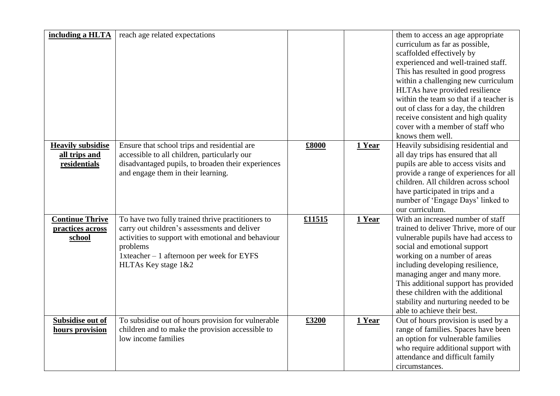| including a HLTA                                          | reach age related expectations                                                                                                                                                                                                          |        |        | them to access an age appropriate<br>curriculum as far as possible,<br>scaffolded effectively by<br>experienced and well-trained staff.<br>This has resulted in good progress<br>within a challenging new curriculum<br>HLTAs have provided resilience<br>within the team so that if a teacher is<br>out of class for a day, the children<br>receive consistent and high quality<br>cover with a member of staff who<br>knows them well. |
|-----------------------------------------------------------|-----------------------------------------------------------------------------------------------------------------------------------------------------------------------------------------------------------------------------------------|--------|--------|------------------------------------------------------------------------------------------------------------------------------------------------------------------------------------------------------------------------------------------------------------------------------------------------------------------------------------------------------------------------------------------------------------------------------------------|
| <b>Heavily subsidise</b><br>all trips and<br>residentials | Ensure that school trips and residential are<br>accessible to all children, particularly our<br>disadvantaged pupils, to broaden their experiences<br>and engage them in their learning.                                                | £8000  | 1 Year | Heavily subsidising residential and<br>all day trips has ensured that all<br>pupils are able to access visits and<br>provide a range of experiences for all<br>children. All children across school<br>have participated in trips and a<br>number of 'Engage Days' linked to<br>our curriculum.                                                                                                                                          |
| <b>Continue Thrive</b><br>practices across<br>school      | To have two fully trained thrive practitioners to<br>carry out children's assessments and deliver<br>activities to support with emotional and behaviour<br>problems<br>1xteacher - 1 afternoon per week for EYFS<br>HLTAs Key stage 1&2 | £11515 | 1 Year | With an increased number of staff<br>trained to deliver Thrive, more of our<br>vulnerable pupils have had access to<br>social and emotional support<br>working on a number of areas<br>including developing resilience,<br>managing anger and many more.<br>This additional support has provided<br>these children with the additional<br>stability and nurturing needed to be<br>able to achieve their best.                            |
| Subsidise out of<br>hours provision                       | To subsidise out of hours provision for vulnerable<br>children and to make the provision accessible to<br>low income families                                                                                                           | £3200  | 1 Year | Out of hours provision is used by a<br>range of families. Spaces have been<br>an option for vulnerable families<br>who require additional support with<br>attendance and difficult family<br>circumstances.                                                                                                                                                                                                                              |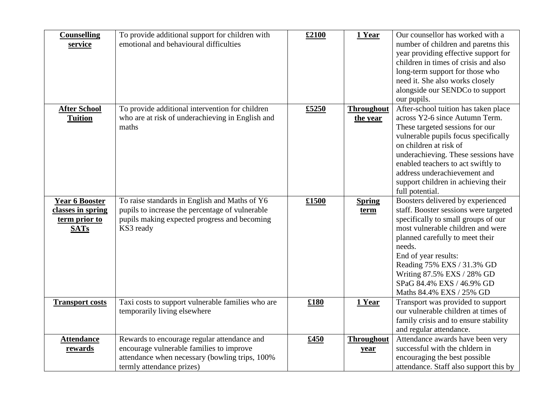| <b>Counselling</b><br>service                                              | To provide additional support for children with<br>emotional and behavioural difficulties                                                                               | £2100 | 1 Year                        | Our counsellor has worked with a<br>number of children and paretns this<br>year providing effective support for<br>children in times of crisis and also<br>long-term support for those who<br>need it. She also works closely<br>alongside our SENDCo to support<br>our pupils.                                                                    |
|----------------------------------------------------------------------------|-------------------------------------------------------------------------------------------------------------------------------------------------------------------------|-------|-------------------------------|----------------------------------------------------------------------------------------------------------------------------------------------------------------------------------------------------------------------------------------------------------------------------------------------------------------------------------------------------|
| <b>After School</b><br><b>Tuition</b>                                      | To provide additional intervention for children<br>who are at risk of underachieving in English and<br>maths                                                            | £5250 | <b>Throughout</b><br>the year | After-school tuition has taken place<br>across Y2-6 since Autumn Term.<br>These targeted sessions for our<br>vulnerable pupils focus specifically<br>on children at risk of<br>underachieving. These sessions have<br>enabled teachers to act swiftly to<br>address underachievement and<br>support children in achieving their<br>full potential. |
| <b>Year 6 Booster</b><br>classes in spring<br>term prior to<br><b>SATs</b> | To raise standards in English and Maths of Y6<br>pupils to increase the percentage of vulnerable<br>pupils making expected progress and becoming<br>KS3 ready           | £1500 | <b>Spring</b><br>term         | Boosters delivered by experienced<br>staff. Booster sessions were targeted<br>specifically to small groups of our<br>most vulnerable children and were<br>planned carefully to meet their<br>needs.<br>End of year results:<br>Reading 75% EXS / 31.3% GD<br>Writing 87.5% EXS / 28% GD<br>SPaG 84.4% EXS / 46.9% GD<br>Maths 84.4% EXS / 25% GD   |
| <b>Transport costs</b>                                                     | Taxi costs to support vulnerable families who are<br>temporarily living elsewhere                                                                                       | £180  | 1 Year                        | Transport was provided to support<br>our vulnerable children at times of<br>family crisis and to ensure stability<br>and regular attendance.                                                                                                                                                                                                       |
| <b>Attendance</b><br>rewards                                               | Rewards to encourage regular attendance and<br>encourage vulnerable families to improve<br>attendance when necessary (bowling trips, 100%)<br>termly attendance prizes) | £450  | <b>Throughout</b><br>year     | Attendance awards have been very<br>successful with the childern in<br>encouraging the best possible<br>attendance. Staff also support this by                                                                                                                                                                                                     |